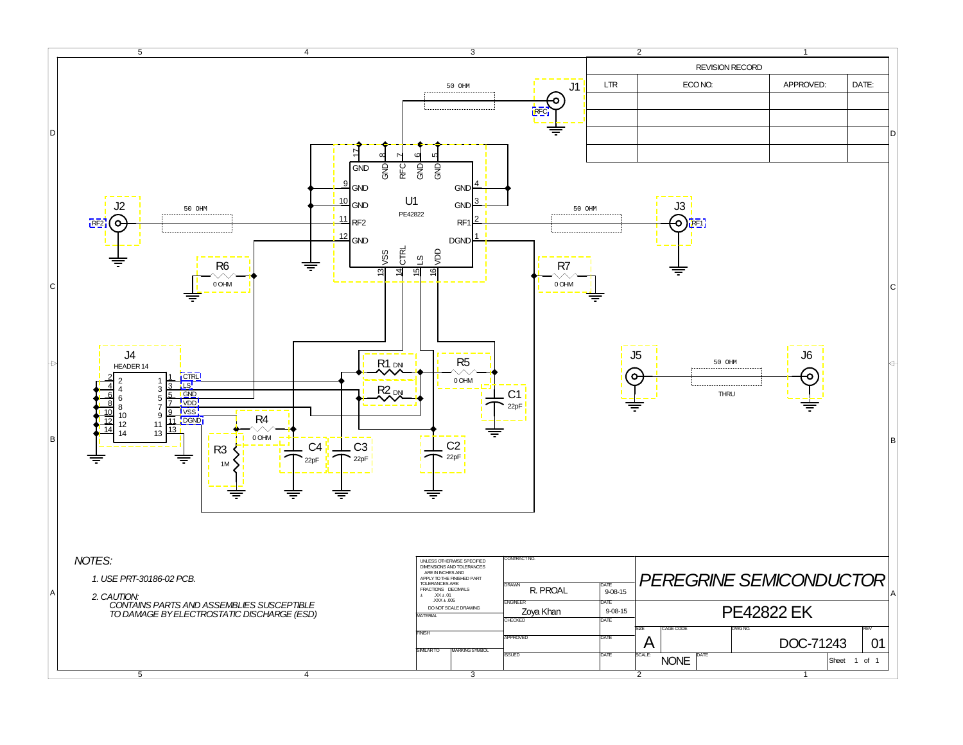